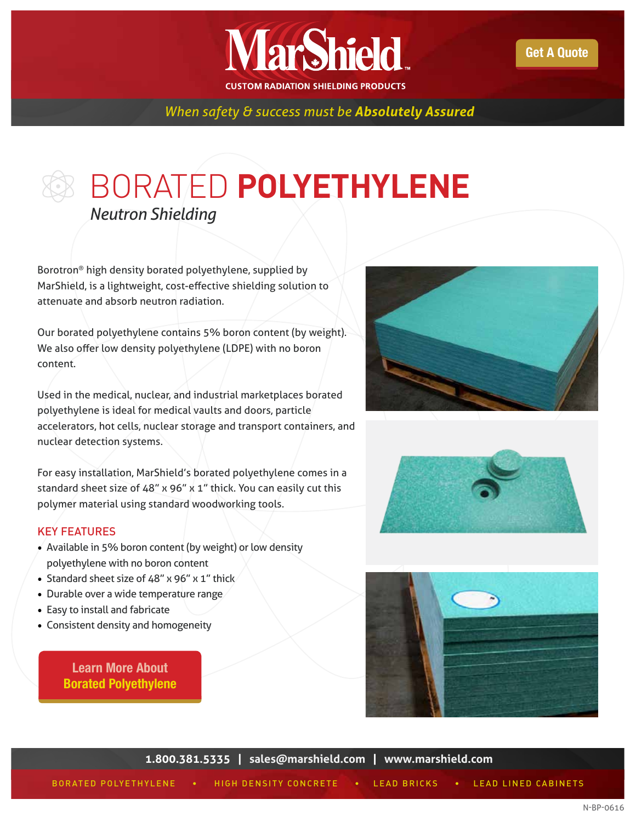

*When safety & success must be Absolutely Assured*

## BORATED **POLYETHYLENE** *Neutron Shielding*

Borotron® high density borated polyethylene, supplied by MarShield, is a lightweight, cost-effective shielding solution to attenuate and absorb neutron radiation.

Our borated polyethylene contains 5% boron content (by weight). We also offer low density polyethylene (LDPE) with no boron content.

Used in the medical, nuclear, and industrial marketplaces borated polyethylene is ideal for medical vaults and doors, particle accelerators, hot cells, nuclear storage and transport containers, and nuclear detection systems.

For easy installation, MarShield's borated polyethylene comes in a standard sheet size of 48" x 96" x 1" thick. You can easily cut this polymer material using standard woodworking tools.

## KEY FEATURES

- Available in 5% boron content (by weight) or low density polyethylene with no boron content
- Standard sheet size of 48" x 96" x 1" thick
- Durable over a wide temperature range
- Easy to install and fabricate
- Consistent density and homogeneity

Learn More About [Borated Polyethylene](http://marshield.com/borated-polyethylene/)







**1.800.381.5335 | [sales@marshield.com](http://marshield.com/marshield-email/) | [www.marshield.com](http://marshield.com/)**